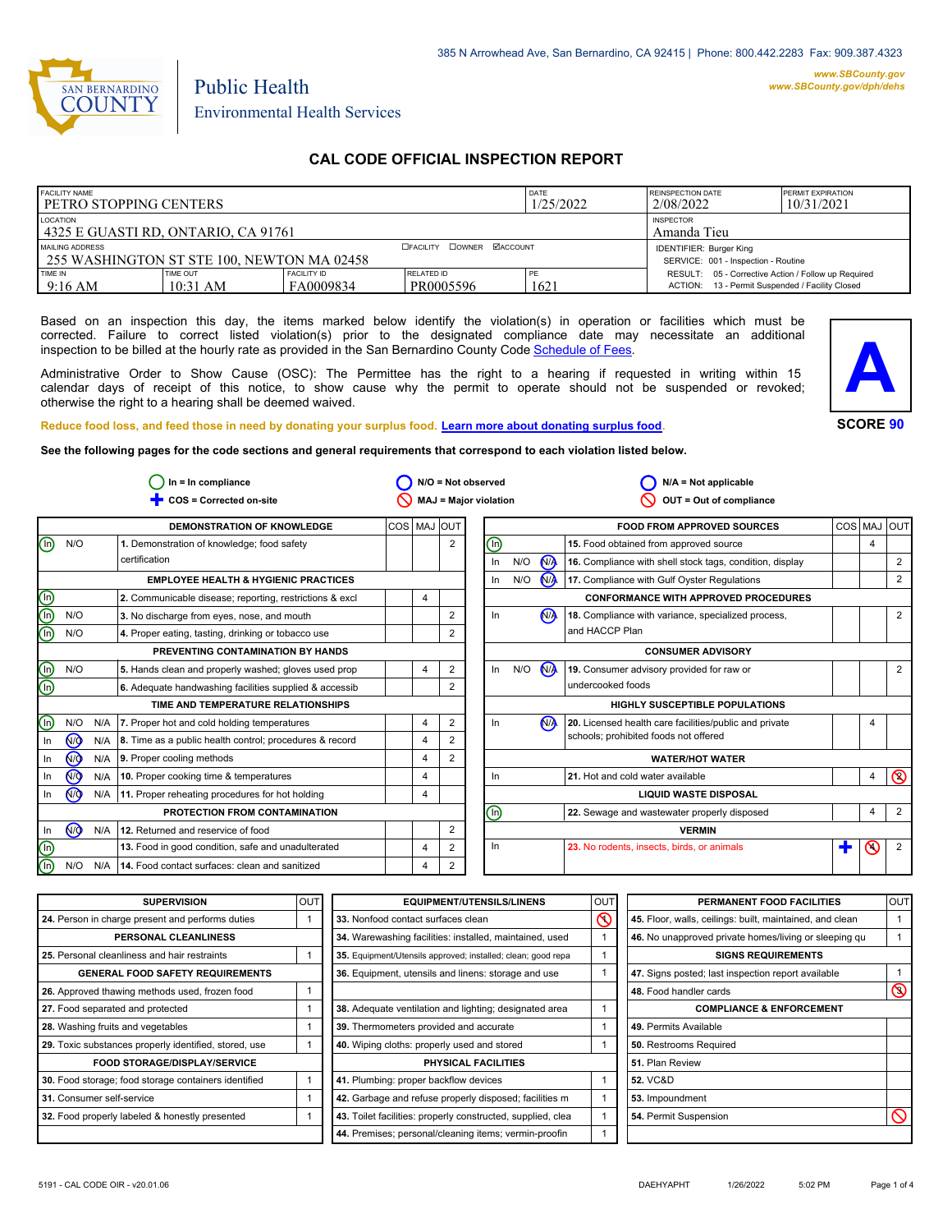

# Environmental Health Services

Public Health

## **CAL CODE OFFICIAL INSPECTION REPORT**

| <b>FACILITY NAME</b><br><b>I PETRO STOPPING CENTERS</b>       |                      |                                                                       | DATE<br>1/25/2022              | <b>REINSPECTION DATE</b><br>2/08/2022 | <b>PERMIT EXPIRATION</b><br>10/31/2021                                                                 |  |
|---------------------------------------------------------------|----------------------|-----------------------------------------------------------------------|--------------------------------|---------------------------------------|--------------------------------------------------------------------------------------------------------|--|
| LOCATION<br>l 4325 E GUASTI RD. ONTARIO. CA 91761             |                      | <b>INSPECTOR</b><br>Amanda Tieu                                       |                                |                                       |                                                                                                        |  |
| MAILING ADDRESS<br>255 WASHINGTON ST STE 100. NEWTON MA 02458 |                      | <b>IDENTIFIER: Burger King</b><br>SERVICE: 001 - Inspection - Routine |                                |                                       |                                                                                                        |  |
| TIME IN<br>9:16 AM                                            | TIME OUT<br>10:31 AM | FACILITY ID<br>FA0009834                                              | <b>RELATED ID</b><br>PR0005596 | PE<br>1621                            | RESULT: 05 - Corrective Action / Follow up Required<br>ACTION: 13 - Permit Suspended / Facility Closed |  |

Based on an inspection this day, the items marked below identify the violation(s) in operation or facilities which must be corrected. Failure to correct listed violation(s) prior to the designated compliance date may necessitate an additional inspection to be billed at the hourly rate as provided in the San Bernardino County Co[de Schedule of Fees.](https://codelibrary.amlegal.com/codes/sanbernardino/latest/sanberncty_ca/0-0-0-122474#JD_16.0213B)

Administrative Order to Show Cause (OSC): The Permittee has the right to a hearing if requested in writing within 15 calendar days of receipt of this notice, to show cause why the permit to operate should not be suspended or revoked; otherwise the right to a hearing shall be deemed waived.



**SCORE 90**

**Reduce food loss, and feed those in need by donating your surplus f[ood. Learn more about donating surplus food.](https://wp.sbcounty.gov/dph/programs/ehs/charitable-food-service/)**

**See the following pages for the code sections and general requirements that correspond to each violation listed below.**

|             |                |     | $In = In$ compliance                                          |             |                |                | $N/O = Not observed$  |     |                      | $N/A = Not$ applicable                                   |   |                |                |
|-------------|----------------|-----|---------------------------------------------------------------|-------------|----------------|----------------|-----------------------|-----|----------------------|----------------------------------------------------------|---|----------------|----------------|
|             |                |     | COS = Corrected on-site                                       |             |                |                | MAJ = Major violation |     |                      | OUT = Out of compliance                                  |   |                |                |
|             |                |     | <b>DEMONSTRATION OF KNOWLEDGE</b>                             | COS MAJ OUT |                |                |                       |     |                      | <b>FOOD FROM APPROVED SOURCES</b>                        |   |                | COS MAJ OUT    |
| ⋒           | N/O            |     | 1. Demonstration of knowledge; food safety                    |             |                | $\overline{2}$ | ⓪                     |     |                      | 15. Food obtained from approved source                   |   | $\overline{4}$ |                |
|             |                |     | certification                                                 |             |                |                | In                    | N/O | <b>N<sub>D</sub></b> | 16. Compliance with shell stock tags, condition, display |   |                | 2              |
|             |                |     | <b>EMPLOYEE HEALTH &amp; HYGIENIC PRACTICES</b>               |             |                |                | $\ln$                 | N/O | N <sub>A</sub>       | 17. Compliance with Gulf Oyster Regulations              |   |                | 2              |
| 900         |                |     | 2. Communicable disease; reporting, restrictions & excl       |             | $\overline{4}$ |                |                       |     |                      | <b>CONFORMANCE WITH APPROVED PROCEDURES</b>              |   |                |                |
|             | N/O            |     | 3. No discharge from eyes, nose, and mouth                    |             |                | 2              | In                    |     | <b>NA</b>            | 18. Compliance with variance, specialized process,       |   |                | 2              |
|             | N/O            |     | 4. Proper eating, tasting, drinking or tobacco use            |             |                | 2              |                       |     |                      | and HACCP Plan                                           |   |                |                |
|             |                |     | PREVENTING CONTAMINATION BY HANDS                             |             |                |                |                       |     |                      | <b>CONSUMER ADVISORY</b>                                 |   |                |                |
| <u>මල</u>   | N/O            |     | 5. Hands clean and properly washed; gloves used prop          |             | 4              | 2              | ln                    | N/O | N <sub>/</sub>       | 19. Consumer advisory provided for raw or                |   |                | 2              |
|             |                |     | 6. Adequate handwashing facilities supplied & accessib        |             |                | $\overline{2}$ |                       |     |                      | undercooked foods                                        |   |                |                |
|             |                |     | TIME AND TEMPERATURE RELATIONSHIPS                            |             |                |                |                       |     |                      | <b>HIGHLY SUSCEPTIBLE POPULATIONS</b>                    |   |                |                |
| $\mathbb O$ | N/O            |     | N/A 7. Proper hot and cold holding temperatures               |             | $\overline{4}$ | 2              | In                    |     | N <sub>A</sub>       | 20. Licensed health care facilities/public and private   |   |                |                |
| In          | 7              |     | N/A   8. Time as a public health control; procedures & record |             | $\overline{4}$ | 2              |                       |     |                      | schools; prohibited foods not offered                    |   |                |                |
| In          | <u>ଡ</u>       |     | $N/A$ 9. Proper cooling methods                               |             | $\overline{4}$ | 2              |                       |     |                      | <b>WATER/HOT WATER</b>                                   |   |                |                |
| In          | <b>√</b>       | N/A | 10. Proper cooking time & temperatures                        |             | $\overline{4}$ |                | $\ln$                 |     |                      | 21. Hot and cold water available                         |   | 4              | $\circledcirc$ |
| In          | M              |     | N/A 11. Proper reheating procedures for hot holding           |             | $\overline{4}$ |                |                       |     |                      | <b>LIQUID WASTE DISPOSAL</b>                             |   |                |                |
|             |                |     | PROTECTION FROM CONTAMINATION                                 |             |                |                | ⋒                     |     |                      | 22. Sewage and wastewater properly disposed              |   | 4              | $\overline{2}$ |
| In          | N <sub>O</sub> | N/A | 12. Returned and reservice of food                            |             |                | 2              |                       |     |                      | <b>VERMIN</b>                                            |   |                |                |
| <b>GIG</b>  |                |     | 13. Food in good condition, safe and unadulterated            |             | $\overline{4}$ | 2              | ln                    |     |                      | 23. No rodents, insects, birds, or animals               | ٠ | $\odot$        | $\overline{2}$ |
|             | N/O            | N/A | 14. Food contact surfaces: clean and sanitized                |             | 4              | 2              |                       |     |                      |                                                          |   |                |                |

| <b>SUPERVISION</b>                                    | <b>OUT</b> | <b>EQUIPMENT/UTENSILS/LINENS</b>                             | lout     | PERMANENT FOOD FACILITIES                                | <b>OUT</b>     |
|-------------------------------------------------------|------------|--------------------------------------------------------------|----------|----------------------------------------------------------|----------------|
| 24. Person in charge present and performs duties      |            | 33. Nonfood contact surfaces clean                           | $\infty$ | 45. Floor, walls, ceilings: built, maintained, and clean |                |
| PERSONAL CLEANLINESS                                  |            | 34. Warewashing facilities: installed, maintained, used      |          | 46. No unapproved private homes/living or sleeping qu    |                |
| 25. Personal cleanliness and hair restraints          |            | 35. Equipment/Utensils approved; installed; clean; good repa |          | <b>SIGNS REQUIREMENTS</b>                                |                |
| <b>GENERAL FOOD SAFETY REQUIREMENTS</b>               |            | 36. Equipment, utensils and linens: storage and use          |          | 47. Signs posted; last inspection report available       |                |
| 26. Approved thawing methods used, frozen food        |            |                                                              |          | 48. Food handler cards                                   | $\circledcirc$ |
| 27. Food separated and protected                      |            | 38. Adequate ventilation and lighting; designated area       |          | <b>COMPLIANCE &amp; ENFORCEMENT</b>                      |                |
| 28. Washing fruits and vegetables                     |            | 39. Thermometers provided and accurate                       |          | 49. Permits Available                                    |                |
| 29. Toxic substances properly identified, stored, use |            | 40. Wiping cloths: properly used and stored                  |          | 50. Restrooms Required                                   |                |
| <b>FOOD STORAGE/DISPLAY/SERVICE</b>                   |            | PHYSICAL FACILITIES                                          |          | 51. Plan Review                                          |                |
| 30. Food storage; food storage containers identified  |            | 41. Plumbing: proper backflow devices                        |          | <b>52. VC&amp;D</b>                                      |                |
| 31. Consumer self-service                             |            | 42. Garbage and refuse properly disposed; facilities m       |          | 53. Impoundment                                          |                |
| 32. Food properly labeled & honestly presented        |            | 43. Toilet facilities: properly constructed, supplied, clea  |          | 54. Permit Suspension                                    |                |
|                                                       |            | 44. Premises; personal/cleaning items; vermin-proofin        |          |                                                          |                |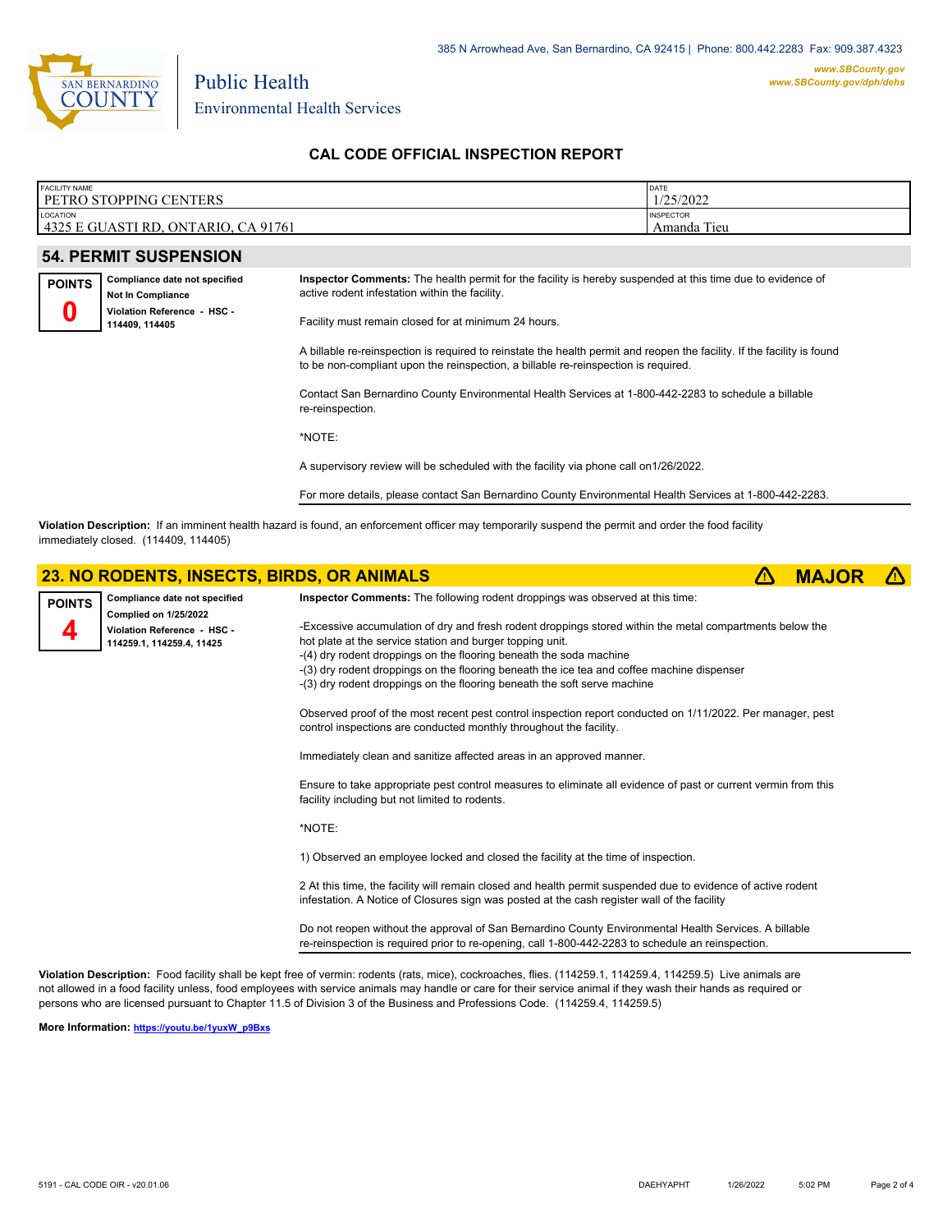

Environmental Health Services

Public Health

## **CAL CODE OFFICIAL INSPECTION REPORT**

| <b>FACILITY NAME</b>                                  | DATE                               |
|-------------------------------------------------------|------------------------------------|
| <b>PETRO STOPPING CENTERS</b>                         | /25/2022                           |
| LOCATION<br>4325 E GUASTI RD.<br>CA 91761<br>ONTARIO, | <b>INSPECTOR</b><br>Tieu<br>Amanda |

## **54. PERMIT SUSPENSION**

| <b>POINTS</b> | Compliance date not specified |  |  |  |  |
|---------------|-------------------------------|--|--|--|--|
|               | Not In Compliance             |  |  |  |  |
|               | Violation Reference - HSC -   |  |  |  |  |
|               | 114409, 114405                |  |  |  |  |

**Inspector Comments:** The health permit for the facility is hereby suspended at this time due to evidence of active rodent infestation within the facility.

Facility must remain closed for at minimum 24 hours.

A billable re-reinspection is required to reinstate the health permit and reopen the facility. If the facility is found to be non-compliant upon the reinspection, a billable re-reinspection is required.

Contact San Bernardino County Environmental Health Services at 1-800-442-2283 to schedule a billable re-reinspection.

\*NOTE:

A supervisory review will be scheduled with the facility via phone call on1/26/2022.

For more details, please contact San Bernardino County Environmental Health Services at 1-800-442-2283.

**Violation Description:** If an imminent health hazard is found, an enforcement officer may temporarily suspend the permit and order the food facility immediately closed. (114409, 114405)

## **23. NO RODENTS, INSECTS, BIRDS, OR ANIMALS <b> 23. NO RODENTS, MAJOR**



**Violation Description:** Food facility shall be kept free of vermin: rodents (rats, mice), cockroaches, flies. (114259.1, 114259.4, 114259.5) Live animals are not allowed in a food facility unless, food employees with service animals may handle or care for their service animal if they wash their hands as required or persons who are licensed pursuant to Chapter 11.5 of Division 3 of the Business and Professions Code. (114259.4, 114259.5)

**More Information: [https://youtu.be/1yuxW\\_p9Bxs](https://youtu.be/1yuxW_p9Bxs)**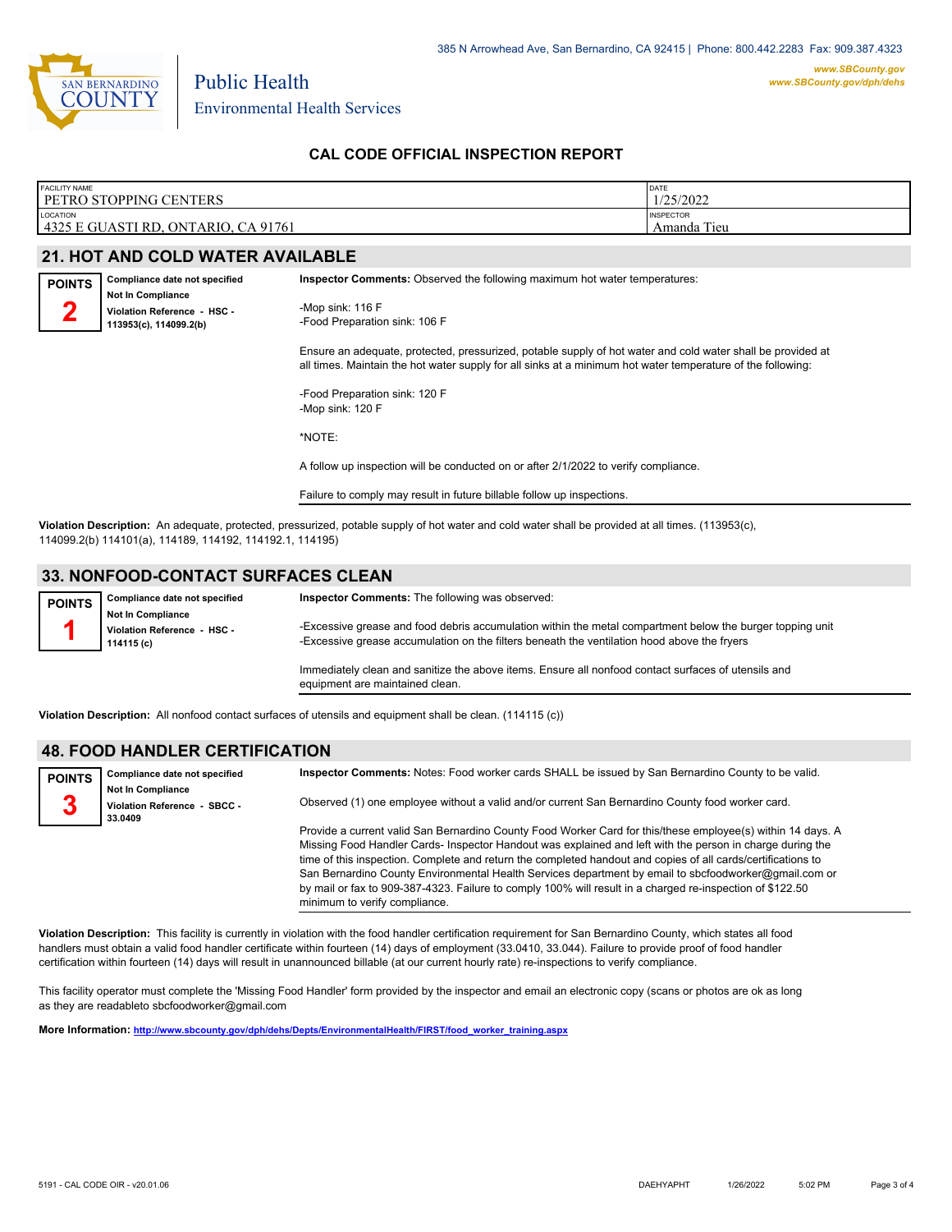

**POINTS 2**

Environmental Health Services

## **CAL CODE OFFICIAL INSPECTION REPORT**

| <b>FACILITY NAME</b>                    | DATE             |
|-----------------------------------------|------------------|
| <b>I PETRO STOPPING CENTERS</b>         | 1/25/2022        |
| <b>LOCATION</b>                         | <b>INSPECTOR</b> |
| 4325 E GUASTI RD, ONTARIO, CA 91761     | Amanda Tieu      |
| <b>21. HOT AND COLD WATER AVAILABLE</b> |                  |

**113953(c), 114099.2(b)**

| Compliance date not specified | <b>Inspector Comments:</b> Observed the following maximum hot water temperatures: |
|-------------------------------|-----------------------------------------------------------------------------------|
| <b>Not In Compliance</b>      |                                                                                   |
| Violation Reference - HSC -   | -Mop sink: $116 F$                                                                |

Public Health

-Mop sink: 116 F -Food Preparation sink: 106 F

Ensure an adequate, protected, pressurized, potable supply of hot water and cold water shall be provided at all times. Maintain the hot water supply for all sinks at a minimum hot water temperature of the following:

-Food Preparation sink: 120 F -Mop sink: 120 F

\*NOTE:

A follow up inspection will be conducted on or after 2/1/2022 to verify compliance.

Failure to comply may result in future billable follow up inspections.

**Violation Description:** An adequate, protected, pressurized, potable supply of hot water and cold water shall be provided at all times. (113953(c), 114099.2(b) 114101(a), 114189, 114192, 114192.1, 114195)

## **33. NONFOOD-CONTACT SURFACES CLEAN**

| <b>POINTS</b> | Compliance date not specified                                         | <b>Inspector Comments:</b> The following was observed:                                                                                                                                                   |
|---------------|-----------------------------------------------------------------------|----------------------------------------------------------------------------------------------------------------------------------------------------------------------------------------------------------|
|               | <b>Not In Compliance</b><br>Violation Reference - HSC -<br>114115 (c) | -Excessive grease and food debris accumulation within the metal compartment below the burger topping unit<br>-Excessive grease accumulation on the filters beneath the ventilation hood above the fryers |
|               |                                                                       | Immediately clean and sanitize the above items. Ensure all nonfood contact surfaces of utensils and<br>equipment are maintained clean.                                                                   |

**Violation Description:** All nonfood contact surfaces of utensils and equipment shall be clean. (114115 (c))

#### **48. FOOD HANDLER CERTIFICATION**

| <b>POINTS</b> | Compliance date not specified                                       | Inspector Comments: Notes: Food worker cards SHALL be issued by San Bernardino County to be valid.                                                                                                                                                                                                                                                                                                                                                                                                                                                                                              |
|---------------|---------------------------------------------------------------------|-------------------------------------------------------------------------------------------------------------------------------------------------------------------------------------------------------------------------------------------------------------------------------------------------------------------------------------------------------------------------------------------------------------------------------------------------------------------------------------------------------------------------------------------------------------------------------------------------|
| 3             | <b>Not In Compliance</b><br>Violation Reference - SBCC -<br>33.0409 | Observed (1) one employee without a valid and/or current San Bernardino County food worker card.                                                                                                                                                                                                                                                                                                                                                                                                                                                                                                |
|               |                                                                     | Provide a current valid San Bernardino County Food Worker Card for this/these employee(s) within 14 days. A<br>Missing Food Handler Cards- Inspector Handout was explained and left with the person in charge during the<br>time of this inspection. Complete and return the completed handout and copies of all cards/certifications to<br>San Bernardino County Environmental Health Services department by email to sbcfoodworker@gmail.com or<br>by mail or fax to 909-387-4323. Failure to comply 100% will result in a charged re-inspection of \$122.50<br>minimum to verify compliance. |

**Violation Description:** This facility is currently in violation with the food handler certification requirement for San Bernardino County, which states all food handlers must obtain a valid food handler certificate within fourteen (14) days of employment (33.0410, 33.044). Failure to provide proof of food handler certification within fourteen (14) days will result in unannounced billable (at our current hourly rate) re-inspections to verify compliance.

This facility operator must complete the 'Missing Food Handler' form provided by the inspector and email an electronic copy (scans or photos are ok as long as they are readableto sbcfoodworker@gmail.com

**More Information: [http://www.sbcounty.gov/dph/dehs/Depts/EnvironmentalHealth/FIRST/food\\_worker\\_training.aspx](http://www.sbcounty.gov/dph/dehs/Depts/EnvironmentalHealth/FIRST/food_worker_training.aspx)**